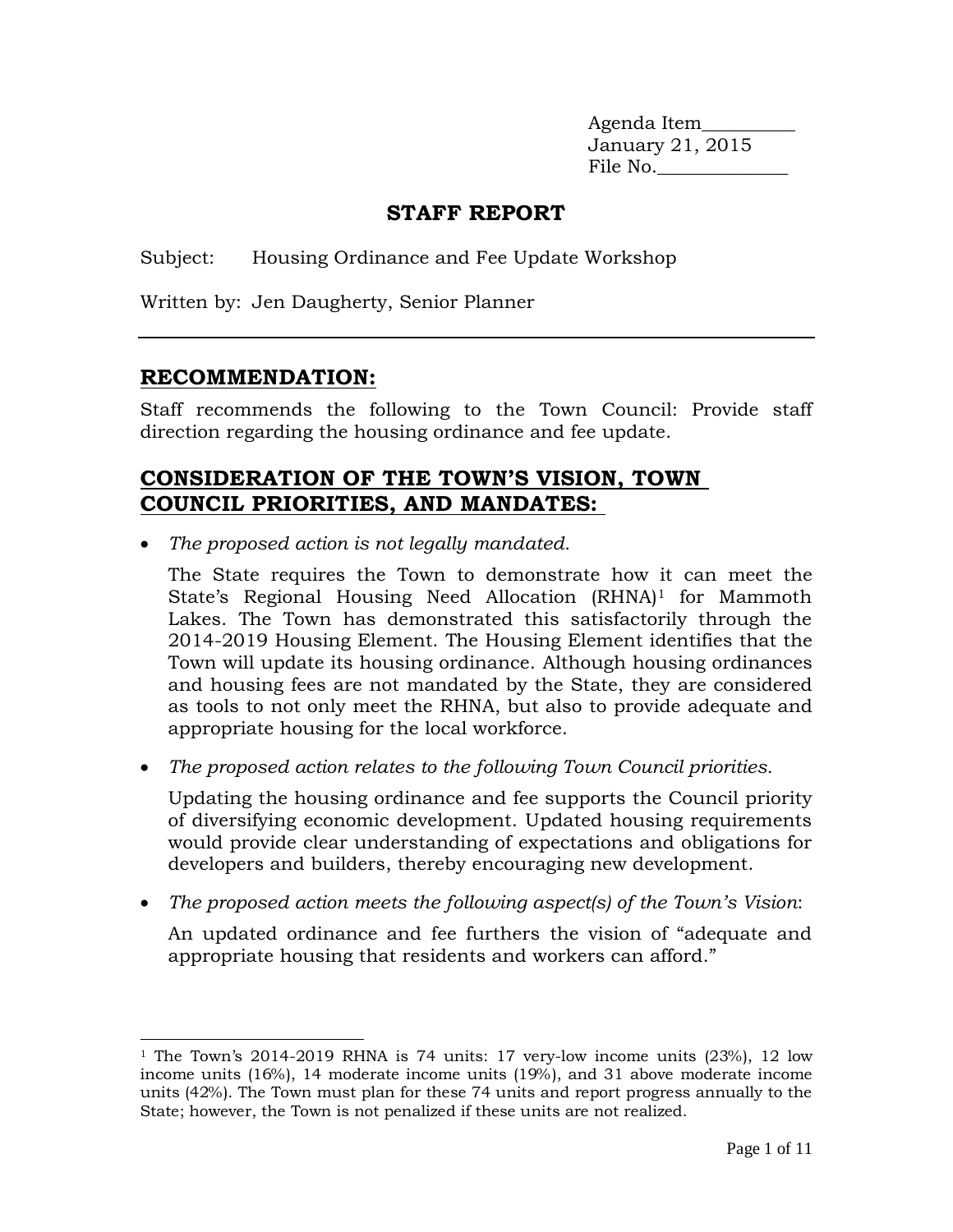Agenda Item\_\_\_\_\_\_\_\_\_\_ January 21, 2015 File No.

# **STAFF REPORT**

Subject: Housing Ordinance and Fee Update Workshop

Written by: Jen Daugherty, Senior Planner

## **RECOMMENDATION:**

Staff recommends the following to the Town Council: Provide staff direction regarding the housing ordinance and fee update.

# **CONSIDERATION OF THE TOWN'S VISION, TOWN COUNCIL PRIORITIES, AND MANDATES:**

*The proposed action is not legally mandated.*

The State requires the Town to demonstrate how it can meet the State's Regional Housing Need Allocation (RHNA)<sup>1</sup> for Mammoth Lakes. The Town has demonstrated this satisfactorily through the 2014-2019 Housing Element. The Housing Element identifies that the Town will update its housing ordinance. Although housing ordinances and housing fees are not mandated by the State, they are considered as tools to not only meet the RHNA, but also to provide adequate and appropriate housing for the local workforce.

*The proposed action relates to the following Town Council priorities.* 

Updating the housing ordinance and fee supports the Council priority of diversifying economic development. Updated housing requirements would provide clear understanding of expectations and obligations for developers and builders, thereby encouraging new development.

*The proposed action meets the following aspect(s) of the Town's Vision*:

An updated ordinance and fee furthers the vision of "adequate and appropriate housing that residents and workers can afford."

 $\overline{a}$ <sup>1</sup> The Town's 2014-2019 RHNA is 74 units: 17 very-low income units (23%), 12 low income units (16%), 14 moderate income units (19%), and 31 above moderate income units (42%). The Town must plan for these 74 units and report progress annually to the State; however, the Town is not penalized if these units are not realized.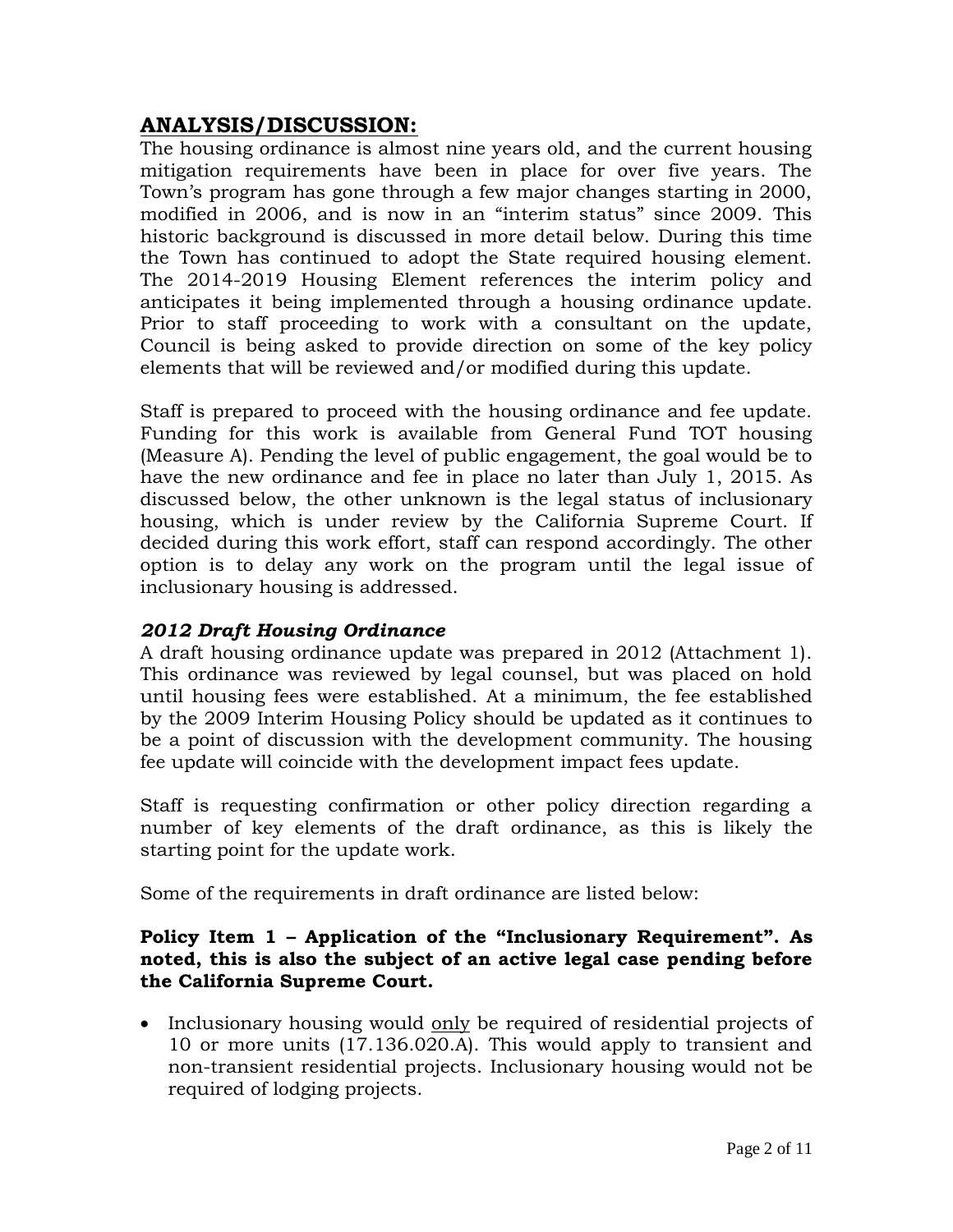# **ANALYSIS/DISCUSSION:**

The housing ordinance is almost nine years old, and the current housing mitigation requirements have been in place for over five years. The Town's program has gone through a few major changes starting in 2000, modified in 2006, and is now in an "interim status" since 2009. This historic background is discussed in more detail below. During this time the Town has continued to adopt the State required housing element. The 2014-2019 Housing Element references the interim policy and anticipates it being implemented through a housing ordinance update. Prior to staff proceeding to work with a consultant on the update, Council is being asked to provide direction on some of the key policy elements that will be reviewed and/or modified during this update.

Staff is prepared to proceed with the housing ordinance and fee update. Funding for this work is available from General Fund TOT housing (Measure A). Pending the level of public engagement, the goal would be to have the new ordinance and fee in place no later than July 1, 2015. As discussed below, the other unknown is the legal status of inclusionary housing, which is under review by the California Supreme Court. If decided during this work effort, staff can respond accordingly. The other option is to delay any work on the program until the legal issue of inclusionary housing is addressed.

## *2012 Draft Housing Ordinance*

A draft housing ordinance update was prepared in 2012 (Attachment 1). This ordinance was reviewed by legal counsel, but was placed on hold until housing fees were established. At a minimum, the fee established by the 2009 Interim Housing Policy should be updated as it continues to be a point of discussion with the development community. The housing fee update will coincide with the development impact fees update.

Staff is requesting confirmation or other policy direction regarding a number of key elements of the draft ordinance, as this is likely the starting point for the update work.

Some of the requirements in draft ordinance are listed below:

#### **Policy Item 1 – Application of the "Inclusionary Requirement". As noted, this is also the subject of an active legal case pending before the California Supreme Court.**

• Inclusionary housing would only be required of residential projects of 10 or more units (17.136.020.A). This would apply to transient and non-transient residential projects. Inclusionary housing would not be required of lodging projects.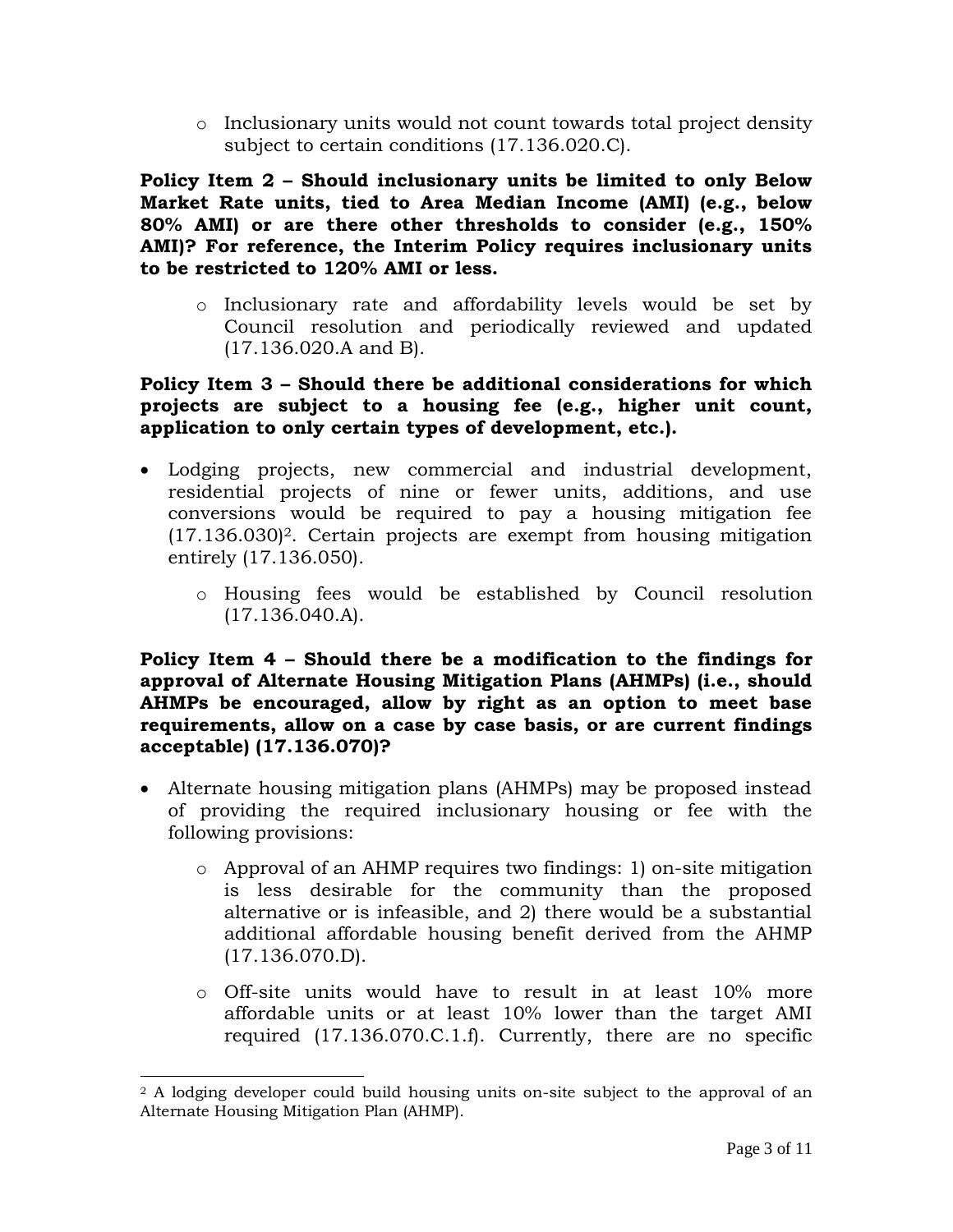o Inclusionary units would not count towards total project density subject to certain conditions (17.136.020.C).

**Policy Item 2 – Should inclusionary units be limited to only Below Market Rate units, tied to Area Median Income (AMI) (e.g., below 80% AMI) or are there other thresholds to consider (e.g., 150% AMI)? For reference, the Interim Policy requires inclusionary units to be restricted to 120% AMI or less.**

o Inclusionary rate and affordability levels would be set by Council resolution and periodically reviewed and updated (17.136.020.A and B).

#### **Policy Item 3 – Should there be additional considerations for which projects are subject to a housing fee (e.g., higher unit count, application to only certain types of development, etc.).**

- Lodging projects, new commercial and industrial development, residential projects of nine or fewer units, additions, and use conversions would be required to pay a housing mitigation fee  $(17.136.030)^2$ . Certain projects are exempt from housing mitigation entirely (17.136.050).
	- o Housing fees would be established by Council resolution (17.136.040.A).

**Policy Item 4 – Should there be a modification to the findings for approval of Alternate Housing Mitigation Plans (AHMPs) (i.e., should AHMPs be encouraged, allow by right as an option to meet base requirements, allow on a case by case basis, or are current findings acceptable) (17.136.070)?**

- Alternate housing mitigation plans (AHMPs) may be proposed instead of providing the required inclusionary housing or fee with the following provisions:
	- o Approval of an AHMP requires two findings: 1) on-site mitigation is less desirable for the community than the proposed alternative or is infeasible, and 2) there would be a substantial additional affordable housing benefit derived from the AHMP (17.136.070.D).
	- o Off-site units would have to result in at least 10% more affordable units or at least 10% lower than the target AMI required (17.136.070.C.1.f). Currently, there are no specific

 $\overline{a}$ <sup>2</sup> A lodging developer could build housing units on-site subject to the approval of an Alternate Housing Mitigation Plan (AHMP).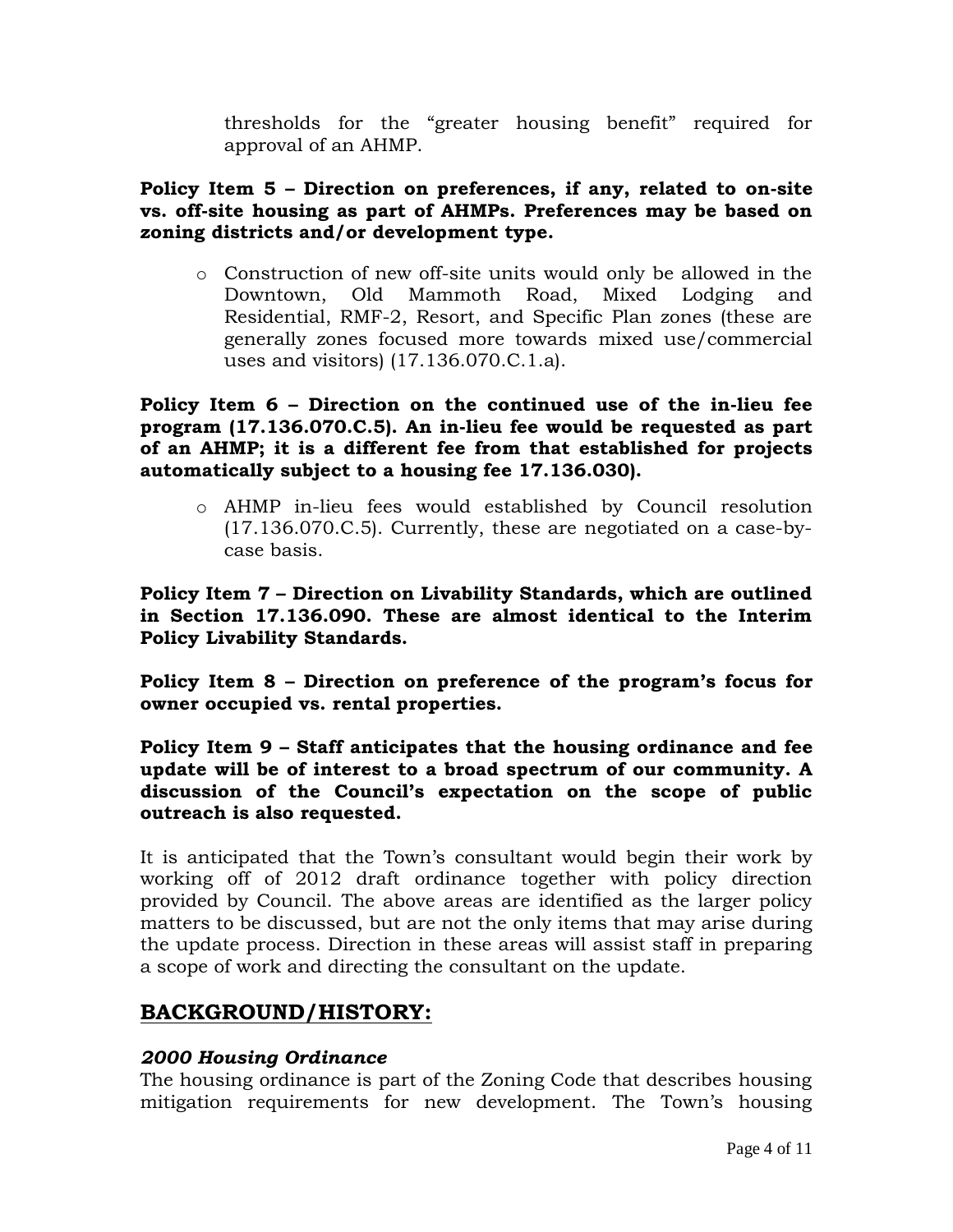thresholds for the "greater housing benefit" required for approval of an AHMP.

#### **Policy Item 5 – Direction on preferences, if any, related to on-site vs. off-site housing as part of AHMPs. Preferences may be based on zoning districts and/or development type.**

o Construction of new off-site units would only be allowed in the Downtown, Old Mammoth Road, Mixed Lodging and Residential, RMF-2, Resort, and Specific Plan zones (these are generally zones focused more towards mixed use/commercial uses and visitors) (17.136.070.C.1.a).

**Policy Item 6 – Direction on the continued use of the in-lieu fee program (17.136.070.C.5). An in-lieu fee would be requested as part of an AHMP; it is a different fee from that established for projects automatically subject to a housing fee 17.136.030).**

o AHMP in-lieu fees would established by Council resolution (17.136.070.C.5). Currently, these are negotiated on a case-bycase basis.

**Policy Item 7 – Direction on Livability Standards, which are outlined in Section 17.136.090. These are almost identical to the Interim Policy Livability Standards.**

**Policy Item 8 – Direction on preference of the program's focus for owner occupied vs. rental properties.**

**Policy Item 9 – Staff anticipates that the housing ordinance and fee update will be of interest to a broad spectrum of our community. A discussion of the Council's expectation on the scope of public outreach is also requested.** 

It is anticipated that the Town's consultant would begin their work by working off of 2012 draft ordinance together with policy direction provided by Council. The above areas are identified as the larger policy matters to be discussed, but are not the only items that may arise during the update process. Direction in these areas will assist staff in preparing a scope of work and directing the consultant on the update.

# **BACKGROUND/HISTORY:**

## *2000 Housing Ordinance*

The housing ordinance is part of the Zoning Code that describes housing mitigation requirements for new development. The Town's housing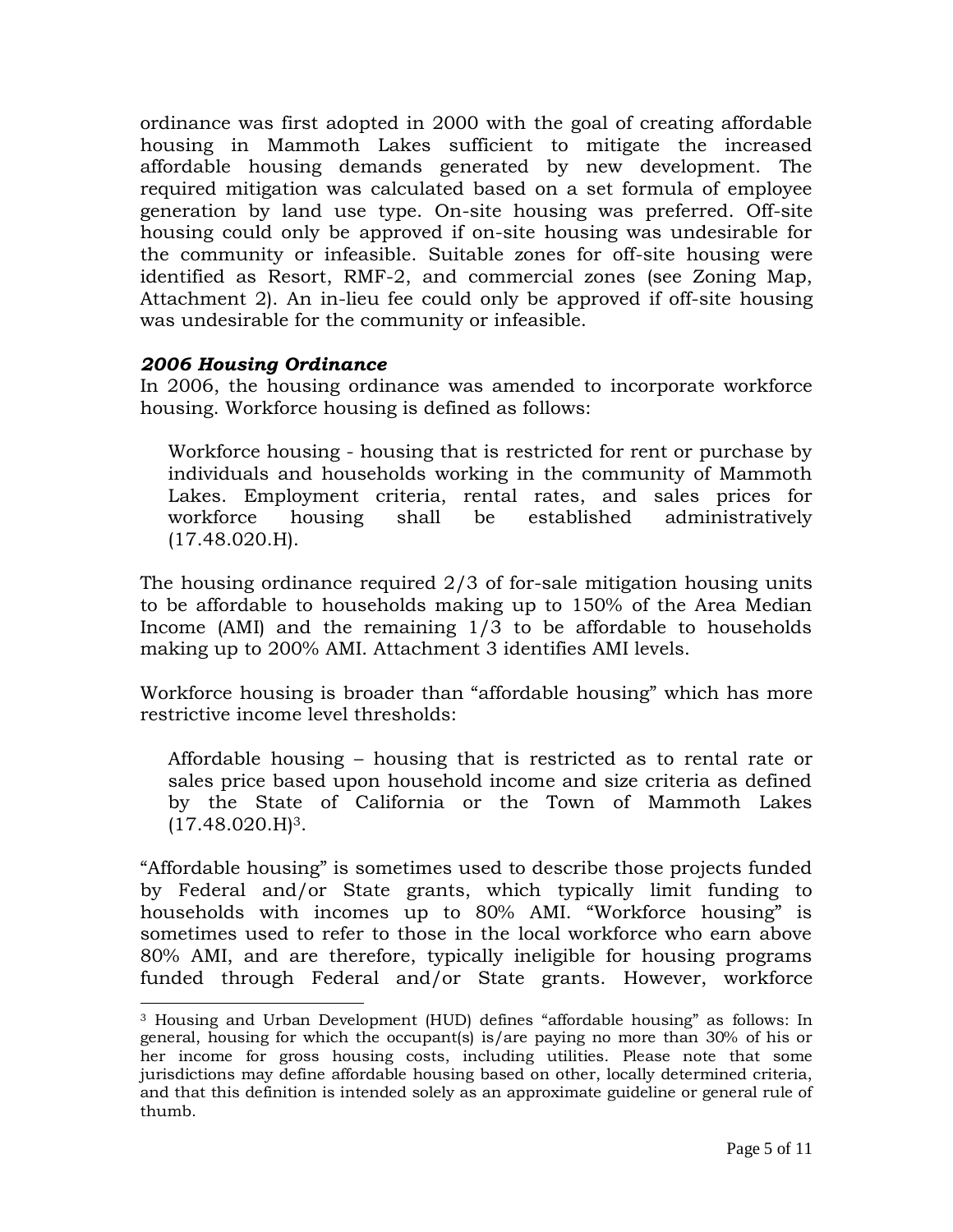ordinance was first adopted in 2000 with the goal of creating affordable housing in Mammoth Lakes sufficient to mitigate the increased affordable housing demands generated by new development. The required mitigation was calculated based on a set formula of employee generation by land use type. On-site housing was preferred. Off-site housing could only be approved if on-site housing was undesirable for the community or infeasible. Suitable zones for off-site housing were identified as Resort, RMF-2, and commercial zones (see Zoning Map, Attachment 2). An in-lieu fee could only be approved if off-site housing was undesirable for the community or infeasible.

#### *2006 Housing Ordinance*

 $\overline{a}$ 

In 2006, the housing ordinance was amended to incorporate workforce housing. Workforce housing is defined as follows:

Workforce housing - housing that is restricted for rent or purchase by individuals and households working in the community of Mammoth Lakes. Employment criteria, rental rates, and sales prices for workforce housing shall be established administratively (17.48.020.H).

The housing ordinance required 2/3 of for-sale mitigation housing units to be affordable to households making up to 150% of the Area Median Income (AMI) and the remaining 1/3 to be affordable to households making up to 200% AMI. Attachment 3 identifies AMI levels.

Workforce housing is broader than "affordable housing" which has more restrictive income level thresholds:

Affordable housing – housing that is restricted as to rental rate or sales price based upon household income and size criteria as defined by the State of California or the Town of Mammoth Lakes  $(17.48.020 \text{H})^3$ .

"Affordable housing" is sometimes used to describe those projects funded by Federal and/or State grants, which typically limit funding to households with incomes up to 80% AMI. "Workforce housing" is sometimes used to refer to those in the local workforce who earn above 80% AMI, and are therefore, typically ineligible for housing programs funded through Federal and/or State grants. However, workforce

<sup>3</sup> Housing and Urban Development (HUD) defines "affordable housing" as follows: In general, housing for which the occupant(s) is/are paying no more than 30% of his or her income for gross housing costs, including utilities. Please note that some jurisdictions may define affordable housing based on other, locally determined criteria, and that this definition is intended solely as an approximate guideline or general rule of thumb.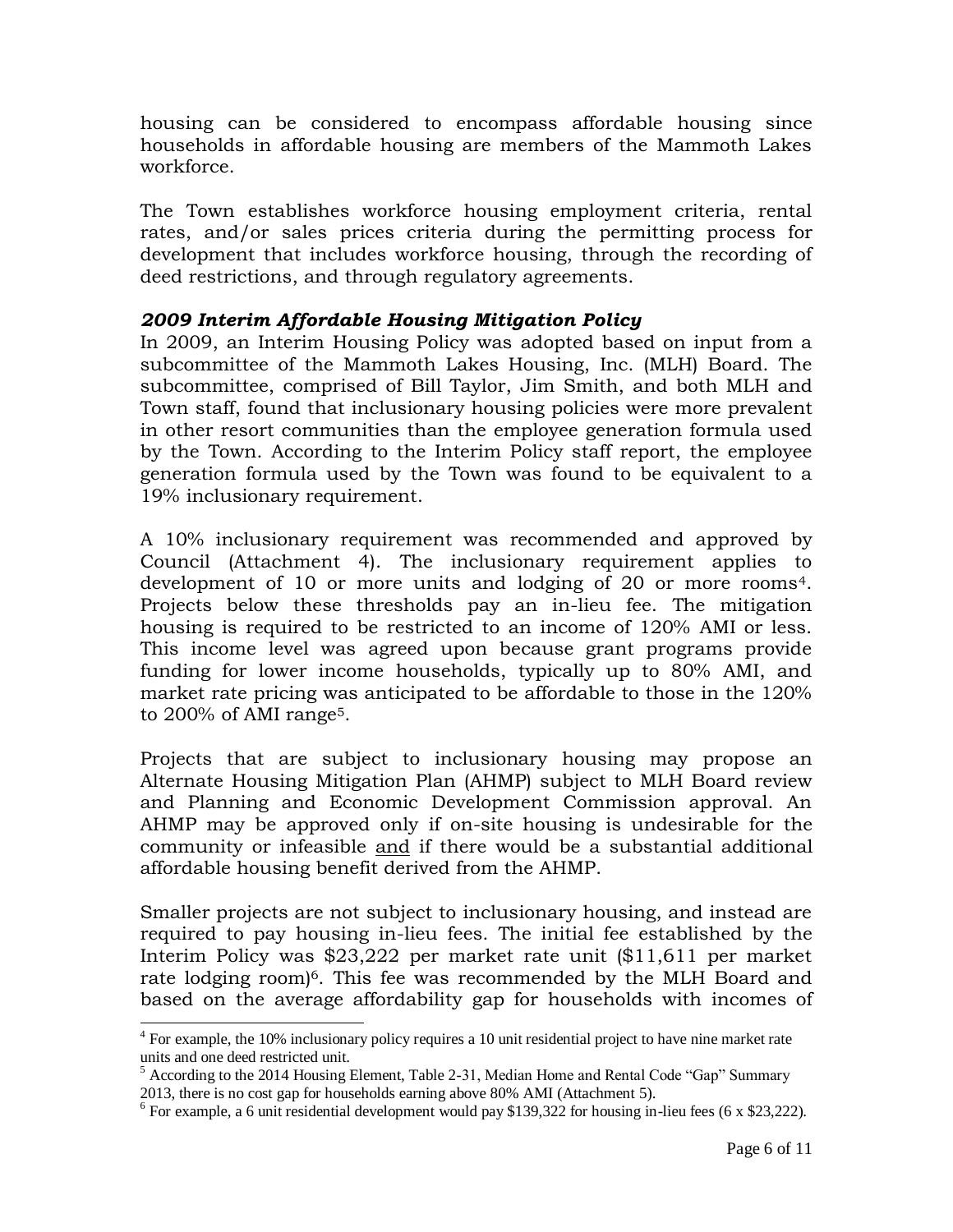housing can be considered to encompass affordable housing since households in affordable housing are members of the Mammoth Lakes workforce.

The Town establishes workforce housing employment criteria, rental rates, and/or sales prices criteria during the permitting process for development that includes workforce housing, through the recording of deed restrictions, and through regulatory agreements.

#### *2009 Interim Affordable Housing Mitigation Policy*

In 2009, an Interim Housing Policy was adopted based on input from a subcommittee of the Mammoth Lakes Housing, Inc. (MLH) Board. The subcommittee, comprised of Bill Taylor, Jim Smith, and both MLH and Town staff, found that inclusionary housing policies were more prevalent in other resort communities than the employee generation formula used by the Town. According to the Interim Policy staff report, the employee generation formula used by the Town was found to be equivalent to a 19% inclusionary requirement.

A 10% inclusionary requirement was recommended and approved by Council (Attachment 4). The inclusionary requirement applies to development of 10 or more units and lodging of 20 or more rooms4. Projects below these thresholds pay an in-lieu fee. The mitigation housing is required to be restricted to an income of 120% AMI or less. This income level was agreed upon because grant programs provide funding for lower income households, typically up to 80% AMI, and market rate pricing was anticipated to be affordable to those in the 120% to 200% of AMI range5.

Projects that are subject to inclusionary housing may propose an Alternate Housing Mitigation Plan (AHMP) subject to MLH Board review and Planning and Economic Development Commission approval. An AHMP may be approved only if on-site housing is undesirable for the community or infeasible and if there would be a substantial additional affordable housing benefit derived from the AHMP.

Smaller projects are not subject to inclusionary housing, and instead are required to pay housing in-lieu fees. The initial fee established by the Interim Policy was \$23,222 per market rate unit (\$11,611 per market rate lodging room)<sup>6</sup>. This fee was recommended by the MLH Board and based on the average affordability gap for households with incomes of

<sup>&</sup>lt;sup>4</sup> For example, the 10% inclusionary policy requires a 10 unit residential project to have nine market rate units and one deed restricted unit.

<sup>&</sup>lt;sup>5</sup> According to the 2014 Housing Element, Table 2-31, Median Home and Rental Code "Gap" Summary 2013, there is no cost gap for households earning above 80% AMI (Attachment 5).

 $6$  For example, a 6 unit residential development would pay \$139,322 for housing in-lieu fees (6 x \$23,222).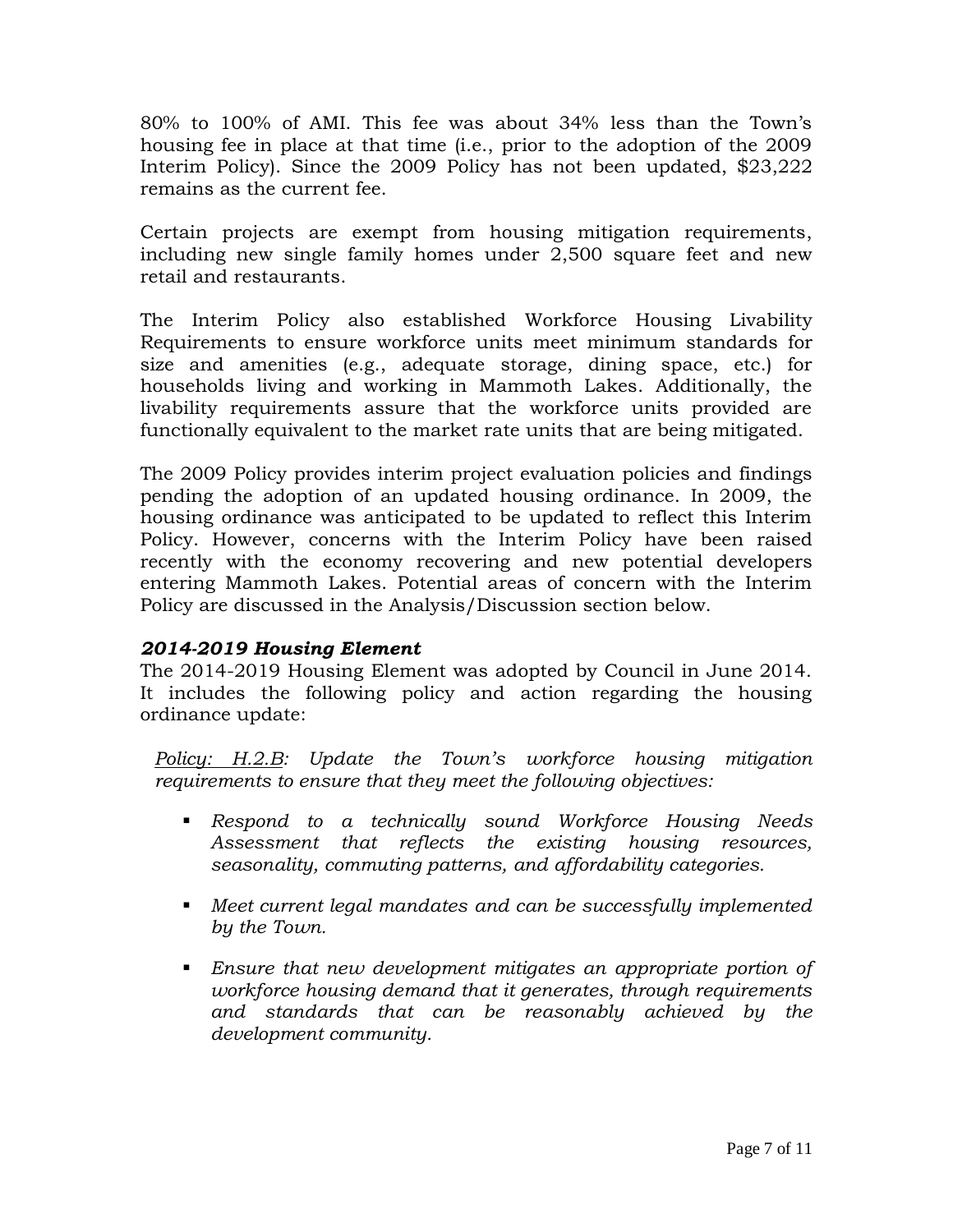80% to 100% of AMI. This fee was about 34% less than the Town's housing fee in place at that time (i.e., prior to the adoption of the 2009 Interim Policy). Since the 2009 Policy has not been updated, \$23,222 remains as the current fee.

Certain projects are exempt from housing mitigation requirements, including new single family homes under 2,500 square feet and new retail and restaurants.

The Interim Policy also established Workforce Housing Livability Requirements to ensure workforce units meet minimum standards for size and amenities (e.g., adequate storage, dining space, etc.) for households living and working in Mammoth Lakes. Additionally, the livability requirements assure that the workforce units provided are functionally equivalent to the market rate units that are being mitigated.

The 2009 Policy provides interim project evaluation policies and findings pending the adoption of an updated housing ordinance. In 2009, the housing ordinance was anticipated to be updated to reflect this Interim Policy. However, concerns with the Interim Policy have been raised recently with the economy recovering and new potential developers entering Mammoth Lakes. Potential areas of concern with the Interim Policy are discussed in the Analysis/Discussion section below.

## *2014-2019 Housing Element*

The 2014-2019 Housing Element was adopted by Council in June 2014. It includes the following policy and action regarding the housing ordinance update:

*Policy: H.2.B: Update the Town's workforce housing mitigation requirements to ensure that they meet the following objectives:*

- *Respond to a technically sound Workforce Housing Needs Assessment that reflects the existing housing resources, seasonality, commuting patterns, and affordability categories.*
- *Meet current legal mandates and can be successfully implemented by the Town.*
- *Ensure that new development mitigates an appropriate portion of workforce housing demand that it generates, through requirements and standards that can be reasonably achieved by the development community.*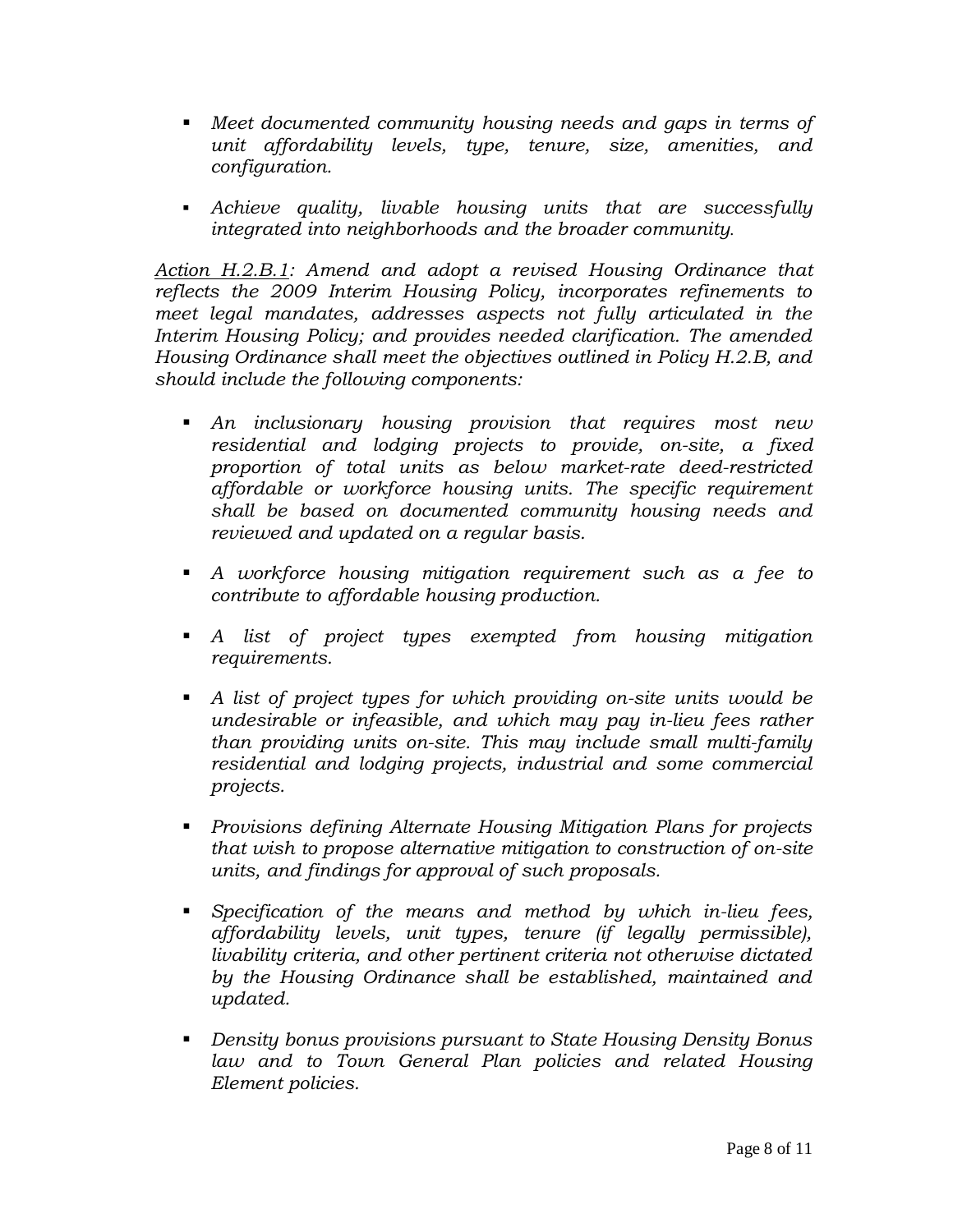- *Meet documented community housing needs and gaps in terms of unit affordability levels, type, tenure, size, amenities, and configuration.*
- *Achieve quality, livable housing units that are successfully integrated into neighborhoods and the broader community.*

*Action H.2.B.1: Amend and adopt a revised Housing Ordinance that reflects the 2009 Interim Housing Policy, incorporates refinements to meet legal mandates, addresses aspects not fully articulated in the Interim Housing Policy; and provides needed clarification. The amended Housing Ordinance shall meet the objectives outlined in Policy H.2.B, and should include the following components:*

- *An inclusionary housing provision that requires most new residential and lodging projects to provide, on-site, a fixed proportion of total units as below market-rate deed-restricted affordable or workforce housing units. The specific requirement shall be based on documented community housing needs and reviewed and updated on a regular basis.*
- *A workforce housing mitigation requirement such as a fee to contribute to affordable housing production.*
- *A list of project types exempted from housing mitigation requirements.*
- *A list of project types for which providing on-site units would be undesirable or infeasible, and which may pay in-lieu fees rather than providing units on-site. This may include small multi-family residential and lodging projects, industrial and some commercial projects.*
- *Provisions defining Alternate Housing Mitigation Plans for projects that wish to propose alternative mitigation to construction of on-site units, and findings for approval of such proposals.*
- *Specification of the means and method by which in-lieu fees, affordability levels, unit types, tenure (if legally permissible), livability criteria, and other pertinent criteria not otherwise dictated by the Housing Ordinance shall be established, maintained and updated.*
- *Density bonus provisions pursuant to State Housing Density Bonus*  law and to Town General Plan policies and related Housing *Element policies.*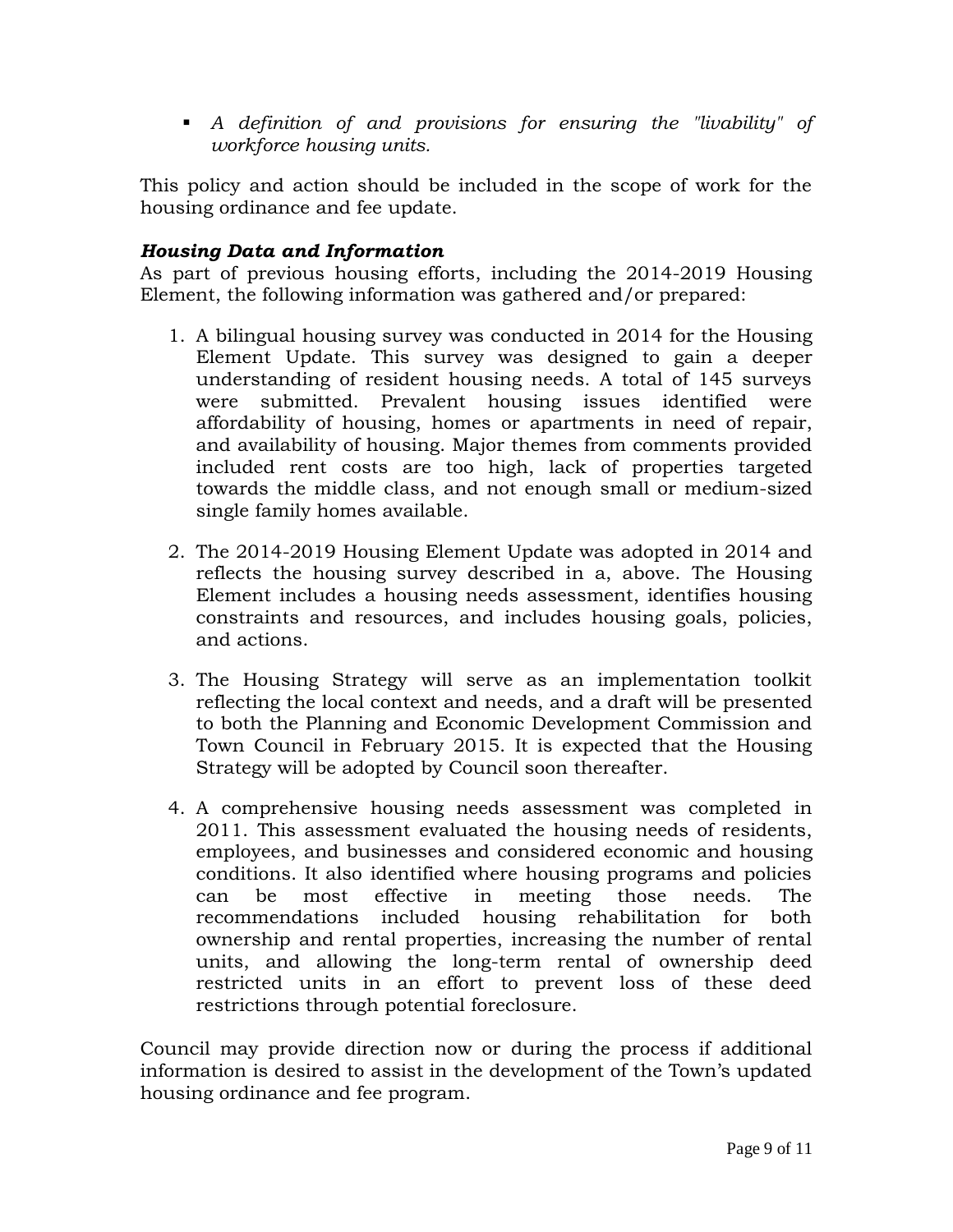*A definition of and provisions for ensuring the "livability" of workforce housing units.*

This policy and action should be included in the scope of work for the housing ordinance and fee update.

## *Housing Data and Information*

As part of previous housing efforts, including the 2014-2019 Housing Element, the following information was gathered and/or prepared:

- 1. A bilingual housing survey was conducted in 2014 for the Housing Element Update. This survey was designed to gain a deeper understanding of resident housing needs. A total of 145 surveys were submitted. Prevalent housing issues identified were affordability of housing, homes or apartments in need of repair, and availability of housing. Major themes from comments provided included rent costs are too high, lack of properties targeted towards the middle class, and not enough small or medium-sized single family homes available.
- 2. The 2014-2019 Housing Element Update was adopted in 2014 and reflects the housing survey described in a, above. The Housing Element includes a housing needs assessment, identifies housing constraints and resources, and includes housing goals, policies, and actions.
- 3. The Housing Strategy will serve as an implementation toolkit reflecting the local context and needs, and a draft will be presented to both the Planning and Economic Development Commission and Town Council in February 2015. It is expected that the Housing Strategy will be adopted by Council soon thereafter.
- 4. A comprehensive housing needs assessment was completed in 2011. This assessment evaluated the housing needs of residents, employees, and businesses and considered economic and housing conditions. It also identified where housing programs and policies can be most effective in meeting those needs. The recommendations included housing rehabilitation for both ownership and rental properties, increasing the number of rental units, and allowing the long-term rental of ownership deed restricted units in an effort to prevent loss of these deed restrictions through potential foreclosure.

Council may provide direction now or during the process if additional information is desired to assist in the development of the Town's updated housing ordinance and fee program.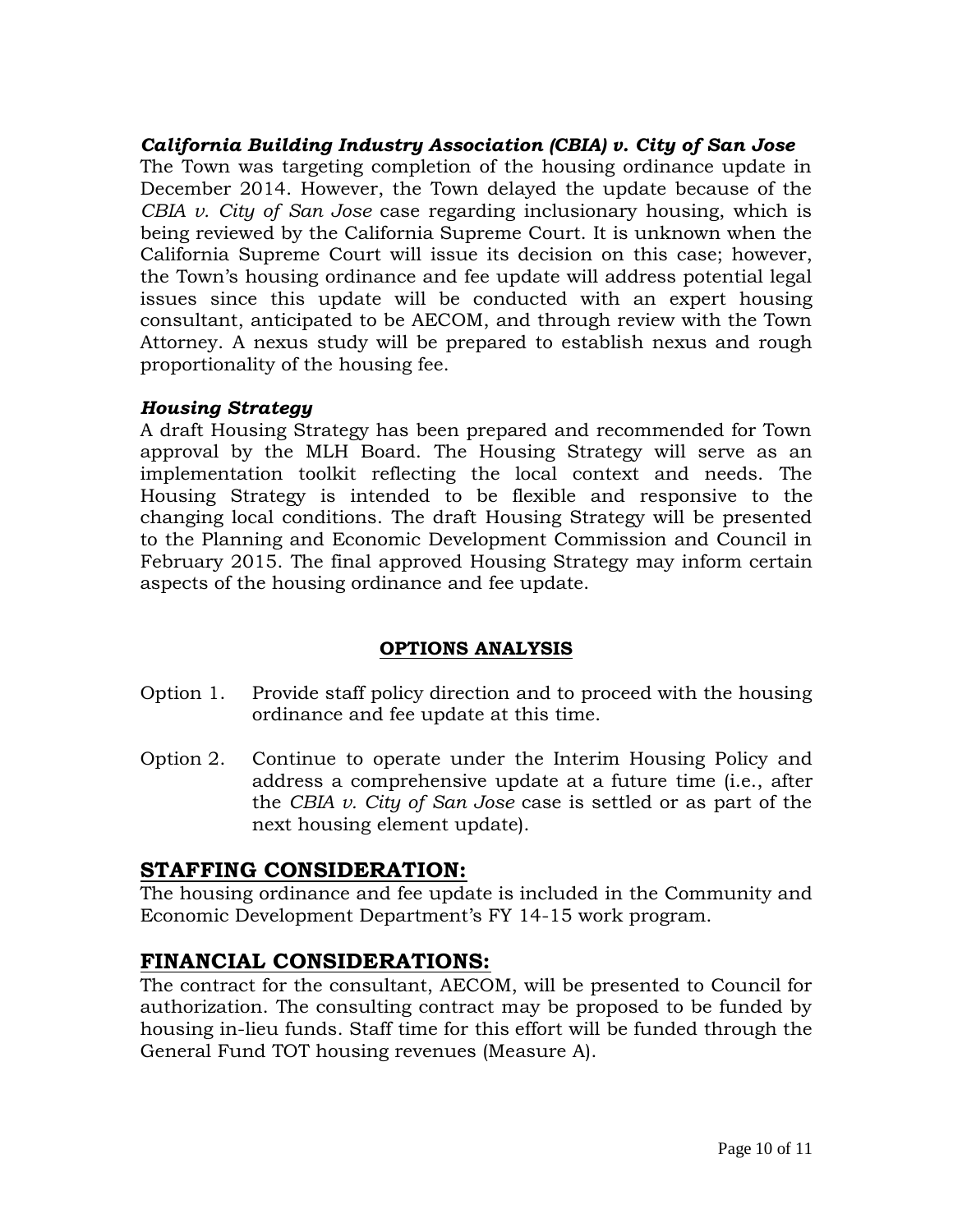*California Building Industry Association (CBIA) v. City of San Jose*  The Town was targeting completion of the housing ordinance update in December 2014. However, the Town delayed the update because of the *CBIA v. City of San Jose* case regarding inclusionary housing, which is being reviewed by the California Supreme Court. It is unknown when the California Supreme Court will issue its decision on this case; however, the Town's housing ordinance and fee update will address potential legal issues since this update will be conducted with an expert housing consultant, anticipated to be AECOM, and through review with the Town Attorney. A nexus study will be prepared to establish nexus and rough proportionality of the housing fee.

## *Housing Strategy*

A draft Housing Strategy has been prepared and recommended for Town approval by the MLH Board. The Housing Strategy will serve as an implementation toolkit reflecting the local context and needs. The Housing Strategy is intended to be flexible and responsive to the changing local conditions. The draft Housing Strategy will be presented to the Planning and Economic Development Commission and Council in February 2015. The final approved Housing Strategy may inform certain aspects of the housing ordinance and fee update.

## **OPTIONS ANALYSIS**

- Option 1. Provide staff policy direction and to proceed with the housing ordinance and fee update at this time.
- Option 2. Continue to operate under the Interim Housing Policy and address a comprehensive update at a future time (i.e., after the *CBIA v. City of San Jose* case is settled or as part of the next housing element update).

# **STAFFING CONSIDERATION:**

The housing ordinance and fee update is included in the Community and Economic Development Department's FY 14-15 work program.

# **FINANCIAL CONSIDERATIONS:**

The contract for the consultant, AECOM, will be presented to Council for authorization. The consulting contract may be proposed to be funded by housing in-lieu funds. Staff time for this effort will be funded through the General Fund TOT housing revenues (Measure A).